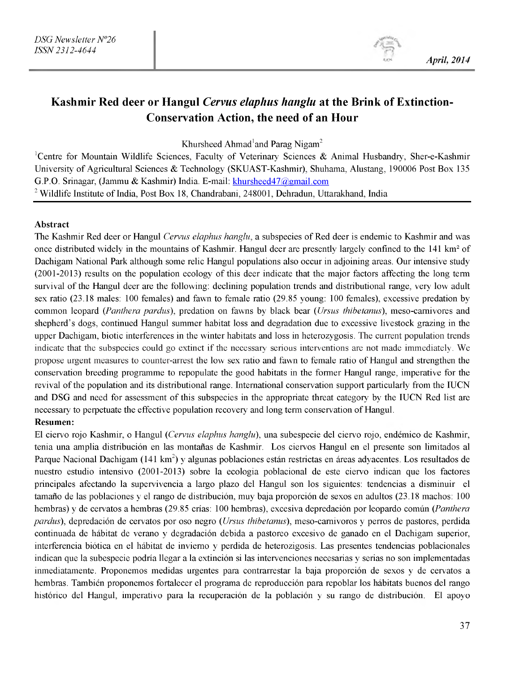# **Kashmir Red deer or Hangul** *Cervus elaphus hanglu* **at the Brink of Extinction-Conservation Action, the need of an Hour**

Khursheed Ahmad<sup>1</sup>and Parag Nigam<sup>2</sup>

<sup>1</sup>Centre for Mountain Wildlife Sciences, Faculty of Veterinary Sciences & Animal Husbandry, Sher-e-Kashmir University of Agricultural Sciences & Technology (SKUAST-Kashmir), Shuhama, Alustang, 190006 Post Box 135 G.P.O. Srinagar, (Jammu & Kashmir) India. E-mail[: khursheed47@gmail.com](mailto:khursheed47@gmail.com) <sup>2</sup> Wildlife Institute of India, Post Box 18, Chandrabani, 248001, Dehradun, Uttarakhand, India

#### Abstract

The Kashmir Red deer or Hangul *Cervus elaphus hanglu,* a subspecies of Red deer is endemic to Kashmir and was once distributed widely in the mountains of Kashmir. Hangul deer are presently largely confined to the 141 km<sup>2</sup> of Dachigam National Park although some relic Hangul populations also occur in adjoining areas. Our intensive study (2001-2013) results on the population ecology of this deer indicate that the major factors affecting the long term survival of the Hangul deer are the following: declining population trends and distributional range, very low adult sex ratio (23.18 males: 100 females) and fawn to female ratio (29.85 young: 100 females), excessive predation by common leopard *(Panthera pardus),* predation on fawns by black bear *(Ursus thibetanus),* meso-carnivores and shepherd's dogs, continued Hangul summer habitat loss and degradation due to excessive livestock grazing in the upper Dachigam, biotic interferences in the winter habitats and loss in heterozygosis. The current population trends indicate that the subspecies could go extinct if the necessary serious interventions are not made immediately. We propose urgent measures to counter-arrest the low sex ratio and fawn to female ratio of Hangul and strengthen the conservation breeding programme to repopulate the good habitats in the former Hangul range, imperative for the revival of the population and its distributional range. International conservation support particularly from the IUCN and DSG and need for assessment of this subspecies in the appropriate threat category by the IUCN Red list are necessary to perpetuate the effective population recovery and long term conservation of Hangul.

## Resumen:

El ciervo rojo Kashmir, o Hangul *(Cervus elaphus hanglu),* una subespecie del ciervo rojo, endemico de Kashmir, tenia una amplia distribución en las montañas de Kashmir. Los ciervos Hangul en el presente son limitados al Parque Nacional Dachigam (141 km<sup>2</sup>) y algunas poblaciones están restrictas en áreas adyacentes. Los resultados de nuestro estudio intensivo (2001-2013) sobre la ecologia poblacional de este ciervo indican que los factores principales afectando la supervivencia a largo plazo del Hangul son los siguientes: tendencias a disminuir el tamaño de las poblaciones y el rango de distribución, muy baja proporción de sexos en adultos (23.18 machos: 100 hembras) y de cervatos a hembras (29.85 crias: 100 hembras), excesiva depredacion por leopardo comun *(Panthera pardus),* depredacion de cervatos por oso negro *(Ursus thibetanus),* meso-camivoros y perros de pastores, perdida continuada de habitat de verano y degradación debida a pastoreo excesivo de ganado en el Dachigam superior, interferencia biotica en el habitat de invierno y perdida de heterozigosis. Las presentes tendencias poblacionales indican que la subespecie podria llegar a la extincion si las intervenciones necesarias y serias no son implementadas inmediatamente. Proponemos medidas urgentes para contrarrestar la baja proporción de sexos y de cervatos a hembras. También proponemos fortalecer el programa de reproducción para repoblar los hábitats buenos del rango histórico del Hangul, imperativo para la recuperación de la población y su rango de distribución. El apoyo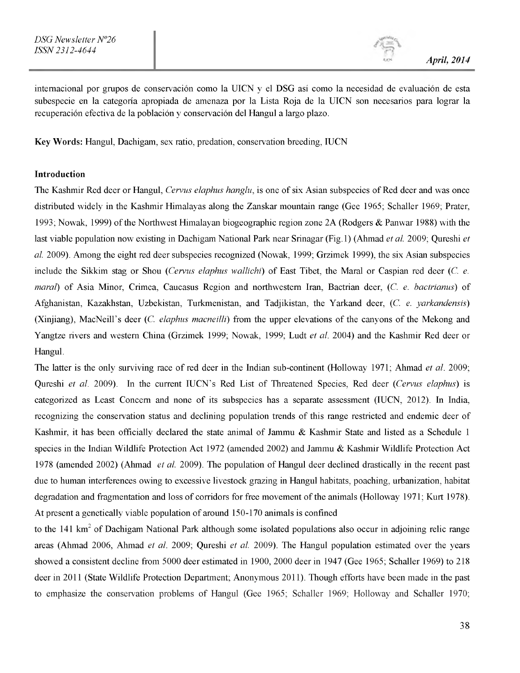*m April, 2014*

internacional por grupos de conservación como la UICN y el DSG así como la necesidad de evaluación de esta subespecie en la categoria apropiada de amenaza por la Lista Roja de la UICN son necesarios para lograr la recuperación efectiva de la población y conservación del Hangul a largo plazo.

Key Words: Hangul, Dachigam, sex ratio, predation, conservation breeding, IUCN

#### Introduction

The Kashmir Red deer or Hangul, *Cervus elaphus hanglu,* is one of six Asian subspecies of Red deer and was once distributed widely in the Kashmir Himalayas along the Zanskar mountain range (Gee 1965; Schaller 1969; Prater, 1993; Nowak, 1999) of the Northwest Himalayan biogeographic region zone 2A (Rodgers & Panwar 1988) with the last viable population now existing in Dachigam National Park near Srinagar (Fig. 1) (Ahmad *et al.* 2009; Qureshi *et al.* 2009). Among the eight red deer subspecies recognized (Nowak, 1999; Grzimek 1999), the six Asian subspecies include the Sikkim stag or Shou *(Cervus elaphus wallichi)* of East Tibet, the Maral or Caspian red deer *(C. e. maral)* of Asia Minor, Crimea, Caucasus Region and northwestern Iran, Bactrian deer, *(C. e. bactrianus)* of Afghanistan, Kazakhstan, Uzbekistan, Turkmenistan, and Tadjikistan, the Yarkand deer, *(C. e. yarkandensis)* (Xinjiang), MacNeill's deer *(C. elaphus macneilli)* from the upper elevations of the canyons of the Mekong and Yangtze rivers and western China (Grzimek 1999; Nowak, 1999; Ludt *et al.* 2004) and the Kashmir Red deer or Hangul.

The latter is the only surviving race of red deer in the Indian sub-continent (Holloway 1971; Ahmad *et al.* 2009; Qureshi *et al.* 2009). In the current IUCN's Red List of Threatened Species, Red deer *(Cervus elaphus)* is categorized as Least Concern and none of its subspecies has a separate assessment (IUCN, 2012). In India, recognizing the conservation status and declining population trends of this range restricted and endemic deer of Kashmir, it has been officially declared the state animal of Jammu & Kashmir State and listed as a Schedule 1 species in the Indian Wildlife Protection Act 1972 (amended 2002) and Jammu & Kashmir Wildlife Protection Act 1978 (amended 2002) (Ahmad *et al.* 2009). The population of Hangul deer declined drastically in the recent past due to human interferences owing to excessive livestock grazing in Hangul habitats, poaching, urbanization, habitat degradation and fragmentation and loss of corridors for free movement of the animals (Holloway 1971; Kurt 1978). At present a genetically viable population of around 150-170 animals is confined

to the 141  $km^2$  of Dachigam National Park although some isolated populations also occur in adjoining relic range areas (Ahmad 2006, Ahmad *et al*. 2009; Qureshi *et al.* 2009). The Hangul population estimated over the years showed a consistent decline from 5000 deer estimated in 1900, 2000 deer in 1947 (Gee 1965; Schaller 1969) to 218 deer in 2011 (State Wildlife Protection Department; Anonymous 2011). Though efforts have been made in the past to emphasize the conservation problems of Hangul (Gee 1965; Schaller 1969; Holloway and Schaller 1970;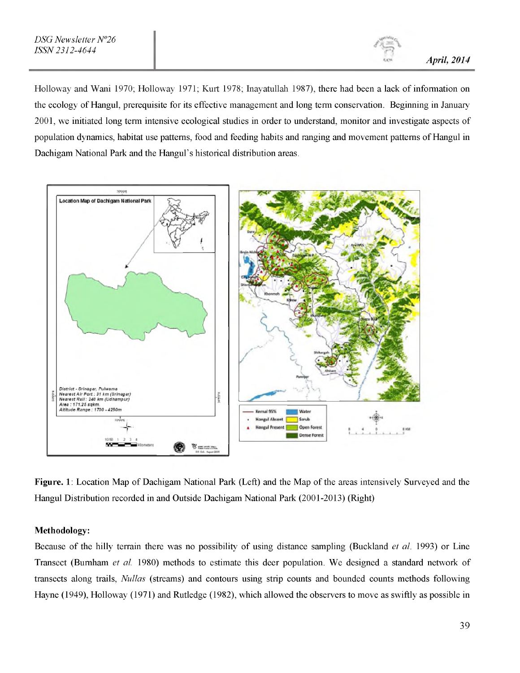Holloway and Wani 1970; Holloway 1971; Kurt 1978; Inayatullah 1987), there had been a lack of information on the ecology of Hangul, prerequisite for its effective management and long term conservation. Beginning in January 2001, we initiated long term intensive ecological studies in order to understand, monitor and investigate aspects of population dynamics, habitat use patterns, food and feeding habits and ranging and movement patterns of Hangul in Dachigam National Park and the Hangul's historical distribution areas.



Figure. 1: Location Map of Dachigam National Park (Left) and the Map of the areas intensively Surveyed and the Hangul Distribution recorded in and Outside Dachigam National Park (2001-2013) (Right)

#### Methodology:

Because of the hilly terrain there was no possibility of using distance sampling (Buckland *et al*. 1993) or Line Transect (Burnham *et al.* 1980) methods to estimate this deer population. We designed a standard network of transects along trails, *Nullas* (streams) and contours using strip counts and bounded counts methods following Hayne (1949), Holloway (1971) and Rutledge (1982), which allowed the observers to move as swiftly as possible in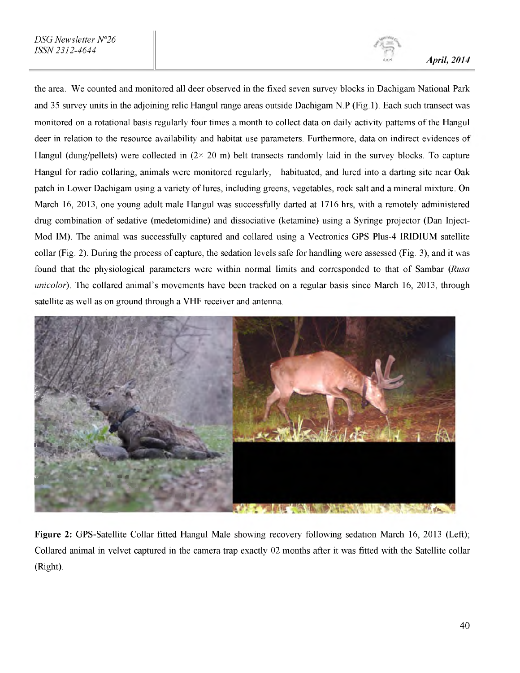the area. We counted and monitored all deer observed in the fixed seven survey blocks in Dachigam National Park and 35 survey units in the adjoining relic Hangul range areas outside Dachigam N.P (Fig. 1). Each such transect was monitored on a rotational basis regularly four times a month to collect data on daily activity patterns of the Hangul deer in relation to the resource availability and habitat use parameters. Furthermore, data on indirect evidences of Hangul (dung/pellets) were collected in  $(2 \times 20 \text{ m})$  belt transects randomly laid in the survey blocks. To capture Hangul for radio collaring, animals were monitored regularly, habituated, and lured into a darting site near Oak patch in Lower Dachigam using a variety of lures, including greens, vegetables, rock salt and a mineral mixture. On March 16, 2013, one young adult male Hangul was successfully darted at 1716 hrs, with a remotely administered drug combination of sedative (medetomidine) and dissociative (ketamine) using a Syringe projector (Dan Inject-Mod IM). The animal was successfully captured and collared using a Vectronics GPS Plus-4 IRIDIUM satellite collar (Fig. 2). During the process of capture, the sedation levels safe for handling were assessed (Fig. 3), and it was found that the physiological parameters were within normal limits and corresponded to that of Sambar *(Rusa unicolor).* The collared animal's movements have been tracked on a regular basis since March 16, 2013, through satellite as well as on ground through a VHF receiver and antenna.



Figure 2: GPS-Satellite Collar fitted Hangul Male showing recovery following sedation March 16, 2013 (Left); Collared animal in velvet captured in the camera trap exactly 02 months after it was fitted with the Satellite collar (Right).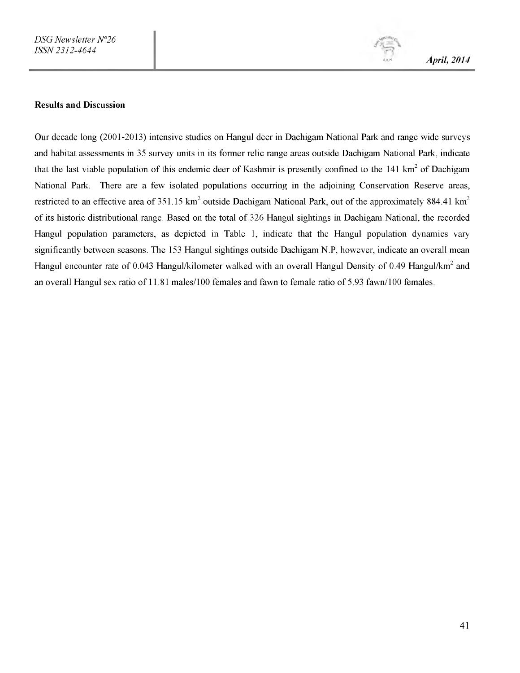*m April, 2014*

#### Results and Discussion

Our decade long (2001-2013) intensive studies on Hangul deer in Dachigam National Park and range wide surveys and habitat assessments in 35 survey units in its former relic range areas outside Dachigam National Park, indicate that the last viable population of this endemic deer of Kashmir is presently confined to the 141  $\text{km}^2$  of Dachigam National Park. There are a few isolated populations occurring in the adjoining Conservation Reserve areas, restricted to an effective area of 351.15 km<sup>2</sup> outside Dachigam National Park, out of the approximately 884.41 km<sup>2</sup> of its historic distributional range. Based on the total of 326 Hangul sightings in Dachigam National, the recorded Hangul population parameters, as depicted in Table 1, indicate that the Hangul population dynamics vary significantly between seasons. The 153 Hangul sightings outside Dachigam N.P, however, indicate an overall mean Hangul encounter rate of 0.043 Hangul/kilometer walked with an overall Hangul Density of 0.49 Hangul/km<sup>2</sup> and an overall Hangul sex ratio of 11.81 males/100 females and fawn to female ratio of 5.93 fawn/100 females.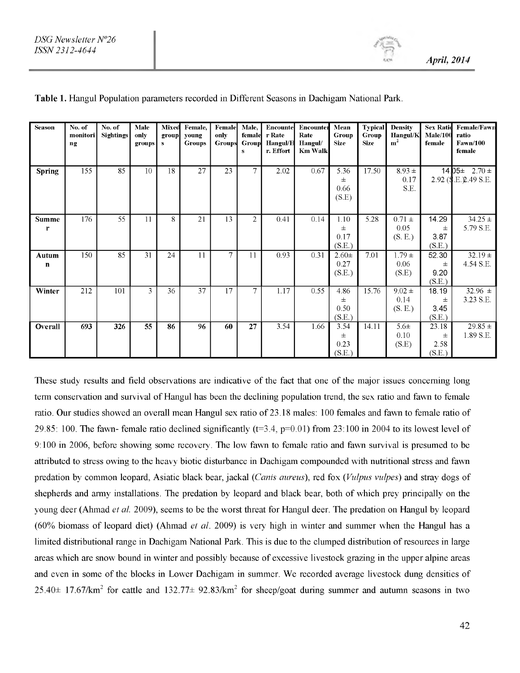| <b>Season</b>        | No. of<br>monitori<br>ng | No. of<br><b>Sightings</b> | Male<br>only<br>groups | Mixed<br>group<br>${\bf s}$ | Female,<br>young<br><b>Groups</b> | Female<br>only<br><b>Groups</b> | Male,<br>female<br>Group<br>$\bf{s}$ | Encounte<br>r Rate<br>Hangul/E<br>r. Effort | <b>Encounter</b><br>Rate<br>Hangul/<br><b>Km Walk</b> | Mean<br>Group<br><b>Size</b> | <b>Typical</b><br>Group<br><b>Size</b> | <b>Density</b><br>Hangul/K<br>m <sup>2</sup> | <b>Sex Ratid</b><br>Male/100<br>female | Female/Fawn<br>ratio<br><b>Fawn/100</b><br>female |
|----------------------|--------------------------|----------------------------|------------------------|-----------------------------|-----------------------------------|---------------------------------|--------------------------------------|---------------------------------------------|-------------------------------------------------------|------------------------------|----------------------------------------|----------------------------------------------|----------------------------------------|---------------------------------------------------|
| <b>Spring</b>        | 155                      | 85                         | 10                     | 18                          | $\overline{27}$                   | 23                              | 7                                    | 2.02                                        | 0.67                                                  | 5.36<br>士<br>0.66<br>(S.E)   | 17.50                                  | $8.93 \pm$<br>0.17<br>S.E.                   |                                        | 14 $D5\pm 2.70\pm 1$<br>2.92 (S.E. 2.49 S.E.      |
| <b>Summe</b><br>r    | 176                      | 55                         | 11                     | 8                           | 21                                | 13                              | $\overline{2}$                       | 0.41                                        | 0.14                                                  | 1.10<br>士<br>0.17<br>(S.E.)  | 5.28                                   | $0.71 \pm$<br>0.05<br>(S.E.)                 | 14.29<br>士<br>3.87<br>(S.E.)           | $34.25 +$<br>5.79 S.E.                            |
| Autum<br>$\mathbf n$ | 150                      | 85                         | 31                     | 24                          | 11                                | $\tau$                          | 11                                   | 0.93                                        | 0.31                                                  | $2.60 \pm$<br>0.27<br>(S.E.) | 7.01                                   | $1.79 \pm$<br>0.06<br>(S.E)                  | 52.30<br>士<br>9.20<br>(S.E.)           | $32.19 \pm$<br>4.54 S.E.                          |
| Winter               | 212                      | 101                        | 3                      | 36                          | 37                                | 17                              | $\overline{7}$                       | 1.17                                        | 0.55                                                  | 4.86<br>士<br>0.50<br>(S.E.)  | 15.76                                  | $9.02 \pm$<br>0.14<br>(S. E.)                | 18.19<br>土<br>3.45<br>(S.E.)           | 32.96 $\pm$<br>3.23 S.E.                          |
| Overall              | 693                      | 326                        | $\overline{55}$        | 86                          | 96                                | 60                              | 27                                   | 3.54                                        | 1.66                                                  | 3.54<br>士<br>0.23<br>(S.E.)  | 14.11                                  | $5.6\pm$<br>0.10<br>(S.E)                    | 23.18<br>士<br>2.58<br>(S.E.)           | $29.85 \pm$<br>1.89 S.E.                          |

#### Table 1. Hangul Population parameters recorded in Different Seasons in Dachigam National Park.

These study results and field observations are indicative of the fact that one of the major issues concerning long term conservation and survival of Hangul has been the declining population trend, the sex ratio and fawn to female ratio. Our studies showed an overall mean Hangul sex ratio of 23.18 males: 100 females and fawn to female ratio of 29.85: 100. The fawn- female ratio declined significantly  $(t=3.4, p=0.01)$  from 23:100 in 2004 to its lowest level of 9:100 in 2006, before showing some recovery. The low fawn to female ratio and fawn survival is presumed to be attributed to stress owing to the heavy biotic disturbance in Dachigam compounded with nutritional stress and fawn predation by common leopard, Asiatic black bear, jackal *(Canis aureus),* red fox *(Vulpus vulpes)* and stray dogs of shepherds and army installations. The predation by leopard and black bear, both of which prey principally on the young deer (Ahmad *et al.* 2009), seems to be the worst threat for Hangul deer. The predation on Hangul by leopard (60% biomass of leopard diet) (Ahmad *et al.* 2009) is very high in winter and summer when the Hangul has a limited distributional range in Dachigam National Park. This is due to the clumped distribution of resources in large areas which are snow bound in winter and possibly because of excessive livestock grazing in the upper alpine areas and even in some of the blocks in Lower Dachigam in summer. We recorded average livestock dung densities of  $25.40\pm 17.67$ /km<sup>2</sup> for cattle and  $132.77\pm 92.83$ /km<sup>2</sup> for sheep/goat during summer and autumn seasons in two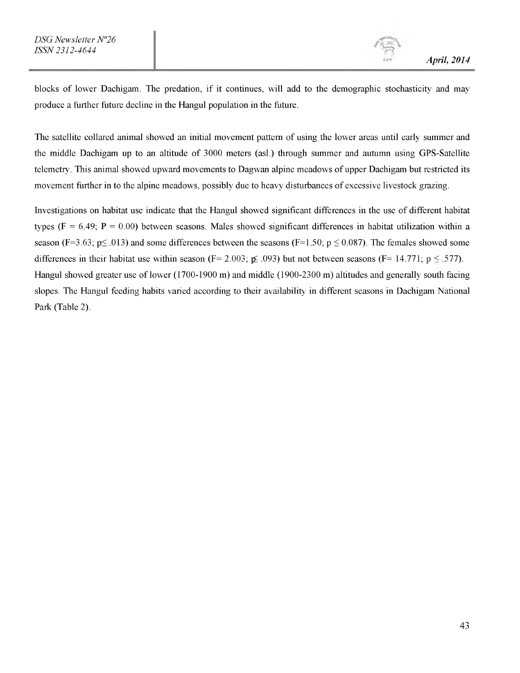blocks of lower Dachigam. The predation, if it continues, will add to the demographic stochasticity and may produce a further future decline in the Hangul population in the future.

The satellite collared animal showed an initial movement pattern of using the lower areas until early summer and the middle Dachigam up to an altitude of 3000 meters (asl.) through summer and autumn using GPS-Satellite telemetry. This animal showed upward movements to Dagwan alpine meadows of upper Dachigam but restricted its movement further in to the alpine meadows, possibly due to heavy disturbances of excessive livestock grazing.

Investigations on habitat use indicate that the Hangul showed significant differences in the use of different habitat types ( $F = 6.49$ ;  $P = 0.00$ ) between seasons. Males showed significant differences in habitat utilization within a season (F=3.63;  $p \le 0.013$ ) and some differences between the seasons (F=1.50;  $p \le 0.087$ ). The females showed some differences in their habitat use within season (F= 2.003;  $\leq$  .093) but not between seasons (F= 14.771; p  $\leq$  .577). Hangul showed greater use of lower (1700-1900 m) and middle (1900-2300 m) altitudes and generally south facing slopes. The Hangul feeding habits varied according to their availability in different seasons in Dachigam National Park (Table 2).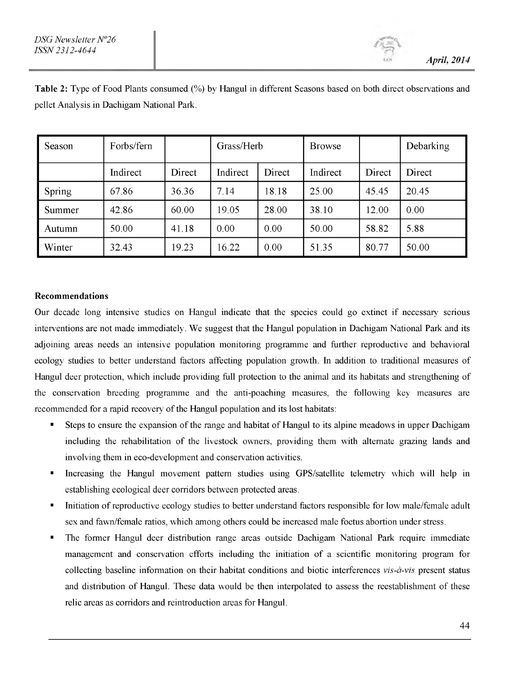*m April, 2014*

| Season | Forbs/fern |        | Grass/Herb |        | <b>Browse</b> |        | Debarking |
|--------|------------|--------|------------|--------|---------------|--------|-----------|
|        | Indirect   | Direct | Indirect   | Direct | Indirect      | Direct | Direct    |
| Spring | 67.86      | 36.36  | 7.14       | 18.18  | 25.00         | 45.45  | 20.45     |
| Summer | 42.86      | 60.00  | 19.05      | 28.00  | 38.10         | 12.00  | 0.00      |
| Autumn | 50.00      | 41.18  | 0.00       | 0.00   | 50.00         | 58.82  | 5.88      |
| Winter | 32.43      | 19.23  | 16.22      | 0.00   | 51.35         | 80.77  | 50.00     |

Table 2: Type of Food Plants consumed (%) by Hangul in different Seasons based on both direct observations and pellet Analysis in Dachigam National Park.

#### Recommendations

Our decade long intensive studies on Hangul indicate that the species could go extinct if necessary serious interventions are not made immediately. We suggest that the Hangul population in Dachigam National Park and its adjoining areas needs an intensive population monitoring programme and further reproductive and behavioral ecology studies to better understand factors affecting population growth. In addition to traditional measures of Hangul deer protection, which include providing full protection to the animal and its habitats and strengthening of the conservation breeding programme and the anti-poaching measures, the following key measures are recommended for a rapid recovery of the Hangul population and its lost habitats:

- Steps to ensure the expansion of the range and habitat of Hangul to its alpine meadows in upper Dachigam including the rehabilitation of the livestock owners, providing them with alternate grazing lands and involving them in eco-development and conservation activities.
- Increasing the Hangul movement pattern studies using GPS/satellite telemetry which will help in establishing ecological deer corridors between protected areas.
- Initiation of reproductive ecology studies to better understand factors responsible for low male/female adult sex and fawn/female ratios, which among others could be increased male foetus abortion under stress.
- The former Hangul deer distribution range areas outside Dachigam National Park require immediate management and conservation efforts including the initiation of a scientific monitoring program for collecting baseline information on their habitat conditions and biotic interferences *vis-a-vis* present status and distribution of Hangul. These data would be then interpolated to assess the reestablishment of these relic areas as corridors and reintroduction areas for Hangul.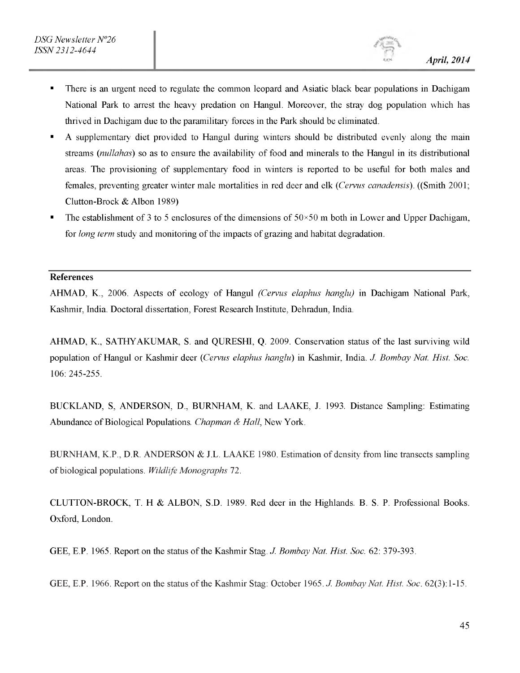- There is an urgent need to regulate the common leopard and Asiatic black bear populations in Dachigam National Park to arrest the heavy predation on Hangul. Moreover, the stray dog population which has thrived in Dachigam due to the paramilitary forces in the Park should be eliminated.
- A supplementary diet provided to Hangul during winters should be distributed evenly along the main streams *(nullahas)* so as to ensure the availability of food and minerals to the Hangul in its distributional areas. The provisioning of supplementary food in winters is reported to be useful for both males and females, preventing greater winter male mortalities in red deer and elk *(Cervus canadensis).* ((Smith 2001; Clutton-Brock & Albon 1989)
- The establishment of 3 to 5 enclosures of the dimensions of  $50\times50$  m both in Lower and Upper Dachigam, for *long term* study and monitoring of the impacts of grazing and habitat degradation.

## References

AHMAD, K., 2006. Aspects of ecology of Hangul *(Cervus elaphus hanglu)* in Dachigam National Park, Kashmir, India. Doctoral dissertation, Forest Research Institute, Dehradun, India.

AHMAD, K., SATHYAKUMAR, S. and QURESHI, Q. 2009. Conservation status of the last surviving wild population of Hangul or Kashmir deer *(Cervus elaphus hanglu)* in Kashmir, India. *J. Bombay Nat. Hist. Soc.* 106: 245-255.

BUCKLAND, S, ANDERSON, D., BURNHAM, K. and LAAKE, J. 1993. Distance Sampling: Estimating Abundance of Biological Populations. *Chapman & Hall,* New York.

BURNHAM, K.P., D.R. ANDERSON & J.L. LAAKE 1980. Estimation of density from line transects sampling of biological populations. *Wildlife Monographs* 72.

CLUTTON-BROCK, T. H & ALBON, S.D. 1989. Red deer in the Highlands. B. S. P. Professional Books. Oxford, London.

GEE, E.P. 1965. Report on the status of the Kashmir Stag. *J. Bombay Nat. Hist. Soc.* 62: 379-393.

GEE, E.P. 1966. Report on the status of the Kashmir Stag: October 1965. *J. Bombay Nat. Hist. Soc.* 62(3):1-15.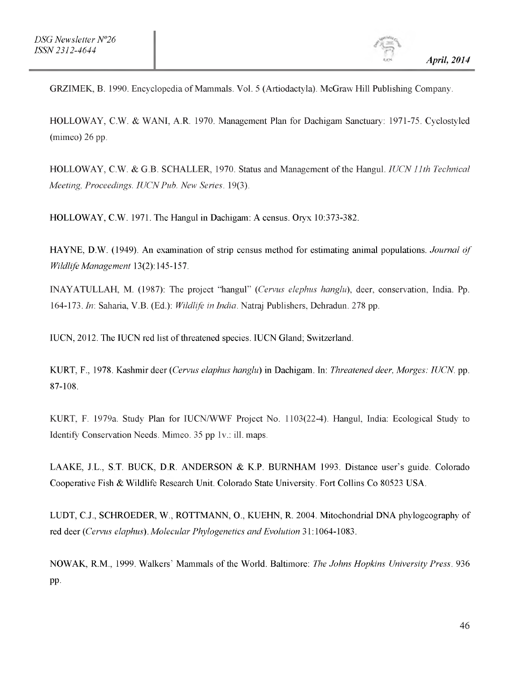GRZIMEK, B. 1990. Encyclopedia of Mammals. Vol. 5 (Artiodactyla). McGraw Hill Publishing Company.

HOLLOWAY, C.W. & WANI, A.R. 1970. Management Plan for Dachigam Sanctuary: 1971-75. Cyclostyled (mimeo) 26 pp.

HOLLOWAY, C.W. & G.B. SCHALLER, 1970. Status and Management of the Hangul. *IUCN 11th Technical Meeting, Proceedings. IUCN Pub. New Series.* 19(3).

HOLLOWAY, C.W. 1971. The Hangul in Dachigam: A census. Oryx 10:373-382.

HAYNE, D.W. (1949). An examination of strip census method for estimating animal populations. *Journal of Wildlife Management* 13(2): 145-157.

INAYATULLAH, M. (1987): The project "hangul" *(Cervus elephus hanglu),* deer, conservation, India. Pp. 164-173. *In:* Saharia, V.B. (Ed.): *Wildlife in India.* Natraj Publishers, Dehradun. 278 pp.

IUCN, 2012. The IUCN red list of threatened species. IUCN Gland; Switzerland.

KURT, F., 1978. Kashmir deer *(Cervus elaphus hanglu)* in Dachigam. In: *Threatened deer, Morges: IUCN.* pp. 87-108.

KURT, F. 1979a. Study Plan for IUCN/WWF Project No. 1103(22-4). Hangul, India: Ecological Study to Identify Conservation Needs. Mimeo. 35 pp 1v.: ill. maps.

LAAKE, J.L., S.T. BUCK, D.R. ANDERSON & K.P. BURNHAM 1993. Distance user's guide. Colorado Cooperative Fish & Wildlife Research Unit. Colorado State University. Fort Collins Co 80523 USA.

LUDT, C.J., SCHROEDER, W., ROTTMANN, O., KUEHN, R. 2004. Mitochondrial DNA phylogeography of red deer *(Cervus elaphus). Molecular Phylogenetics and Evolution* 31:1064-1083.

NOWAK, R.M., 1999. Walkers' Mammals of the World. Baltimore: *The Johns Hopkins University Press.* 936 pp.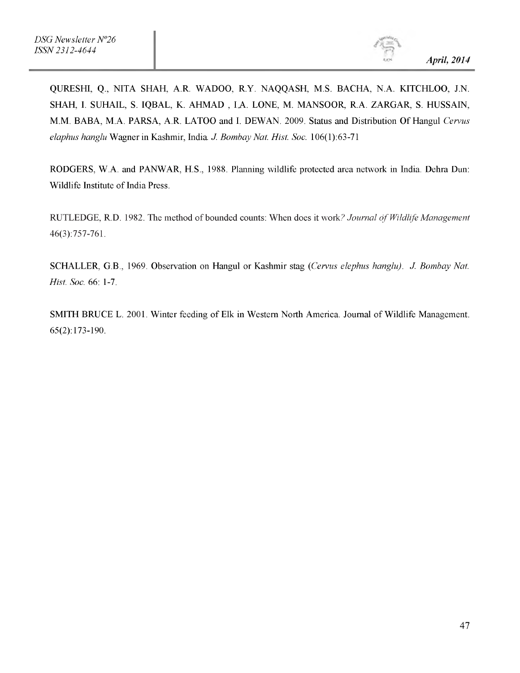QURESHI, Q., NITA SHAH, A.R. WADOO, R.Y. NAQQASH, M.S. BACHA, N.A. KITCHLOO, J.N. SHAH, I. SUHAIL, S. IQBAL, K. AHMAD, I.A. LONE, M. MANSOOR, R.A. ZARGAR, S. HUSSAIN, M.M. BABA, M.A. PARSA, A.R. LATOO and I. DEWAN. 2009. Status and Distribution Of Hangul *Cervus elaphus hanglu* Wagner in Kashmir, India. *J. Bombay Nat. Hist. Soc.* 106(1):63-71

RODGERS, W.A. and PANWAR, H.S., 1988. Planning wildlife protected area network in India. Dehra Dun: Wildlife Institute of India Press.

RUTLEDGE, R.D. 1982. The method of bounded counts: When does it work? *Journal of Wildlife Management* 46(3):757-761.

SCHALLER, G.B., 1969. Observation on Hangul or Kashmir stag *(Cervus elephus hanglu). J. Bombay Nat. Hist. Soc.* 66: 1-7.

SMITH BRUCE L. 2001. Winter feeding of Elk in Western North America. Journal of Wildlife Management. 65(2): 173-190.